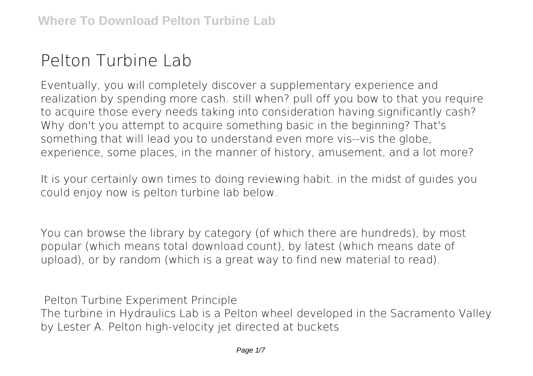# **Pelton Turbine Lab**

Eventually, you will completely discover a supplementary experience and realization by spending more cash. still when? pull off you bow to that you require to acquire those every needs taking into consideration having significantly cash? Why don't you attempt to acquire something basic in the beginning? That's something that will lead you to understand even more vis--vis the globe, experience, some places, in the manner of history, amusement, and a lot more?

It is your certainly own times to doing reviewing habit. in the midst of guides you could enjoy now is **pelton turbine lab** below.

You can browse the library by category (of which there are hundreds), by most popular (which means total download count), by latest (which means date of upload), or by random (which is a great way to find new material to read).

**Pelton Turbine Experiment Principle** The turbine in Hydraulics Lab is a Pelton wheel developed in the Sacramento Valley by Lester A. Pelton high-velocity jet directed at buckets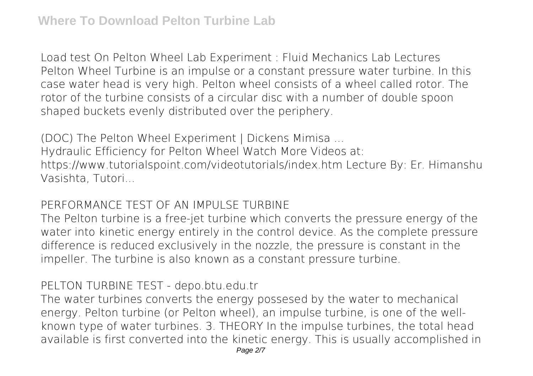**Load test On Pelton Wheel Lab Experiment : Fluid Mechanics Lab Lectures** Pelton Wheel Turbine is an impulse or a constant pressure water turbine. In this case water head is very high. Pelton wheel consists of a wheel called rotor. The rotor of the turbine consists of a circular disc with a number of double spoon shaped buckets evenly distributed over the periphery.

**(DOC) The Pelton Wheel Experiment | Dickens Mimisa ...** Hydraulic Efficiency for Pelton Wheel Watch More Videos at:

https://www.tutorialspoint.com/videotutorials/index.htm Lecture By: Er. Himanshu Vasishta, Tutori...

## **PERFORMANCE TEST OF AN IMPULSE TURBINE**

The Pelton turbine is a free-jet turbine which converts the pressure energy of the water into kinetic energy entirely in the control device. As the complete pressure difference is reduced exclusively in the nozzle, the pressure is constant in the impeller. The turbine is also known as a constant pressure turbine.

#### **PELTON TURBINE TEST - depo.btu.edu.tr**

The water turbines converts the energy possesed by the water to mechanical energy. Pelton turbine (or Pelton wheel), an impulse turbine, is one of the wellknown type of water turbines. 3. THEORY In the impulse turbines, the total head available is first converted into the kinetic energy. This is usually accomplished in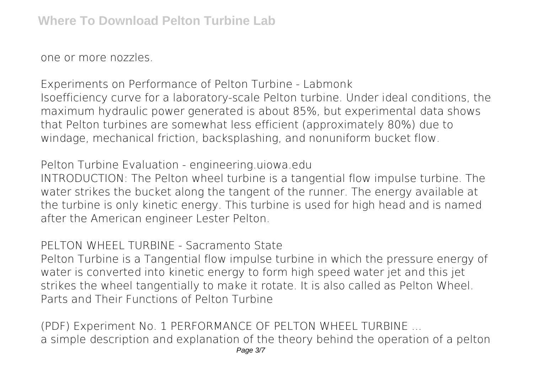one or more nozzles.

**Experiments on Performance of Pelton Turbine - Labmonk** Isoefficiency curve for a laboratory-scale Pelton turbine. Under ideal conditions, the maximum hydraulic power generated is about 85%, but experimental data shows that Pelton turbines are somewhat less efficient (approximately 80%) due to windage, mechanical friction, backsplashing, and nonuniform bucket flow.

**Pelton Turbine Evaluation - engineering.uiowa.edu**

INTRODUCTION: The Pelton wheel turbine is a tangential flow impulse turbine. The water strikes the bucket along the tangent of the runner. The energy available at the turbine is only kinetic energy. This turbine is used for high head and is named after the American engineer Lester Pelton.

**PELTON WHEEL TURBINE - Sacramento State**

Pelton Turbine is a Tangential flow impulse turbine in which the pressure energy of water is converted into kinetic energy to form high speed water jet and this jet strikes the wheel tangentially to make it rotate. It is also called as Pelton Wheel. Parts and Their Functions of Pelton Turbine

**(PDF) Experiment No. 1 PERFORMANCE OF PELTON WHEEL TURBINE ...** a simple description and explanation of the theory behind the operation of a pelton Page 3/7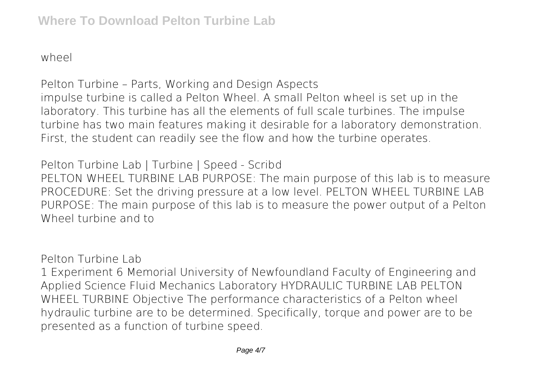wheel

**Pelton Turbine – Parts, Working and Design Aspects** impulse turbine is called a Pelton Wheel. A small Pelton wheel is set up in the laboratory. This turbine has all the elements of full scale turbines. The impulse turbine has two main features making it desirable for a laboratory demonstration. First, the student can readily see the flow and how the turbine operates.

**Pelton Turbine Lab | Turbine | Speed - Scribd** PELTON WHEEL TURBINE LAB PURPOSE: The main purpose of this lab is to measure PROCEDURE: Set the driving pressure at a low level. PELTON WHEEL TURBINE LAB PURPOSE: The main purpose of this lab is to measure the power output of a Pelton Wheel turbine and to

**Pelton Turbine Lab**

1 Experiment 6 Memorial University of Newfoundland Faculty of Engineering and Applied Science Fluid Mechanics Laboratory HYDRAULIC TURBINE LAB PELTON WHEEL TURBINE Objective The performance characteristics of a Pelton wheel hydraulic turbine are to be determined. Specifically, torque and power are to be presented as a function of turbine speed.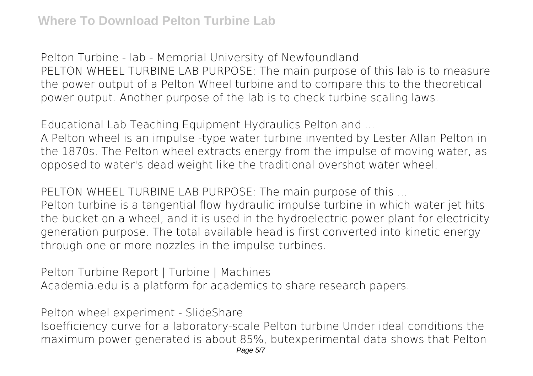**Pelton Turbine - lab - Memorial University of Newfoundland** PELTON WHEEL TURBINE LAB PURPOSE: The main purpose of this lab is to measure the power output of a Pelton Wheel turbine and to compare this to the theoretical power output. Another purpose of the lab is to check turbine scaling laws.

**Educational Lab Teaching Equipment Hydraulics Pelton and ...**

A Pelton wheel is an impulse -type water turbine invented by Lester Allan Pelton in the 1870s. The Pelton wheel extracts energy from the impulse of moving water, as opposed to water's dead weight like the traditional overshot water wheel.

**PELTON WHEEL TURBINE LAB PURPOSE: The main purpose of this ...**

Pelton turbine is a tangential flow hydraulic impulse turbine in which water jet hits the bucket on a wheel, and it is used in the hydroelectric power plant for electricity generation purpose. The total available head is first converted into kinetic energy through one or more nozzles in the impulse turbines.

**Pelton Turbine Report | Turbine | Machines** Academia.edu is a platform for academics to share research papers.

**Pelton wheel experiment - SlideShare**

Isoefficiency curve for a laboratory-scale Pelton turbine Under ideal conditions the maximum power generated is about 85%, butexperimental data shows that Pelton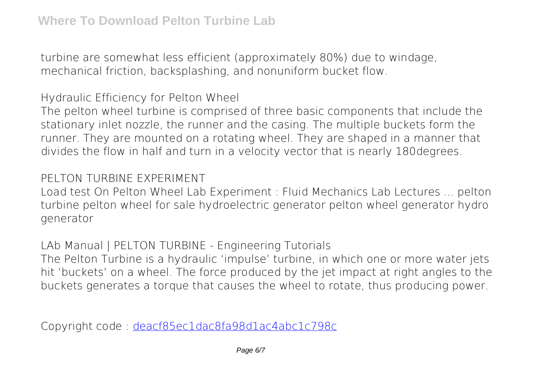turbine are somewhat less efficient (approximately 80%) due to windage, mechanical friction, backsplashing, and nonuniform bucket flow.

**Hydraulic Efficiency for Pelton Wheel**

The pelton wheel turbine is comprised of three basic components that include the stationary inlet nozzle, the runner and the casing. The multiple buckets form the runner. They are mounted on a rotating wheel. They are shaped in a manner that divides the flow in half and turn in a velocity vector that is nearly 180degrees.

## **PELTON TURBINE EXPERIMENT**

Load test On Pelton Wheel Lab Experiment : Fluid Mechanics Lab Lectures ... pelton turbine pelton wheel for sale hydroelectric generator pelton wheel generator hydro generator

**LAb Manual | PELTON TURBINE - Engineering Tutorials**

The Pelton Turbine is a hydraulic 'impulse' turbine, in which one or more water jets hit 'buckets' on a wheel. The force produced by the jet impact at right angles to the buckets generates a torque that causes the wheel to rotate, thus producing power.

Copyright code : [deacf85ec1dac8fa98d1ac4abc1c798c](/search-book/deacf85ec1dac8fa98d1ac4abc1c798c)